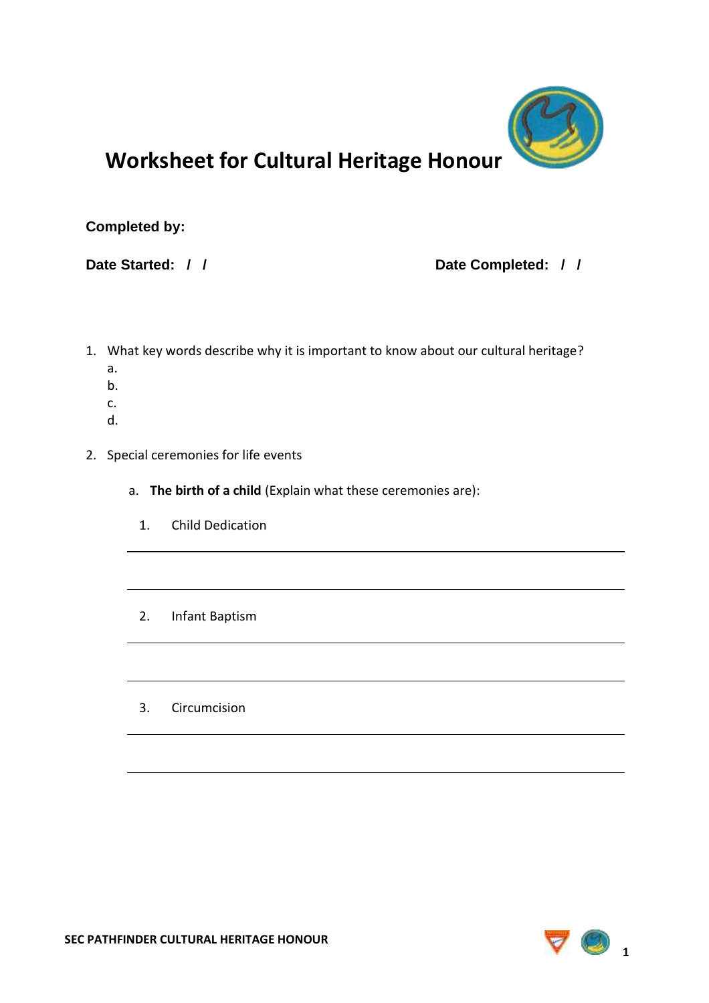

## **Worksheet for Cultural Heritage Honour**

## **Completed by:**

## **Date Started: / / Date Completed: / /**

- 1. What key words describe why it is important to know about our cultural heritage?
	- a. b.
	-
	- c.
	- d.
- 2. Special ceremonies for life events
	- a. **The birth of a child** (Explain what these ceremonies are):
		- 1. Child Dedication
		- 2. Infant Baptism
		- 3. Circumcision

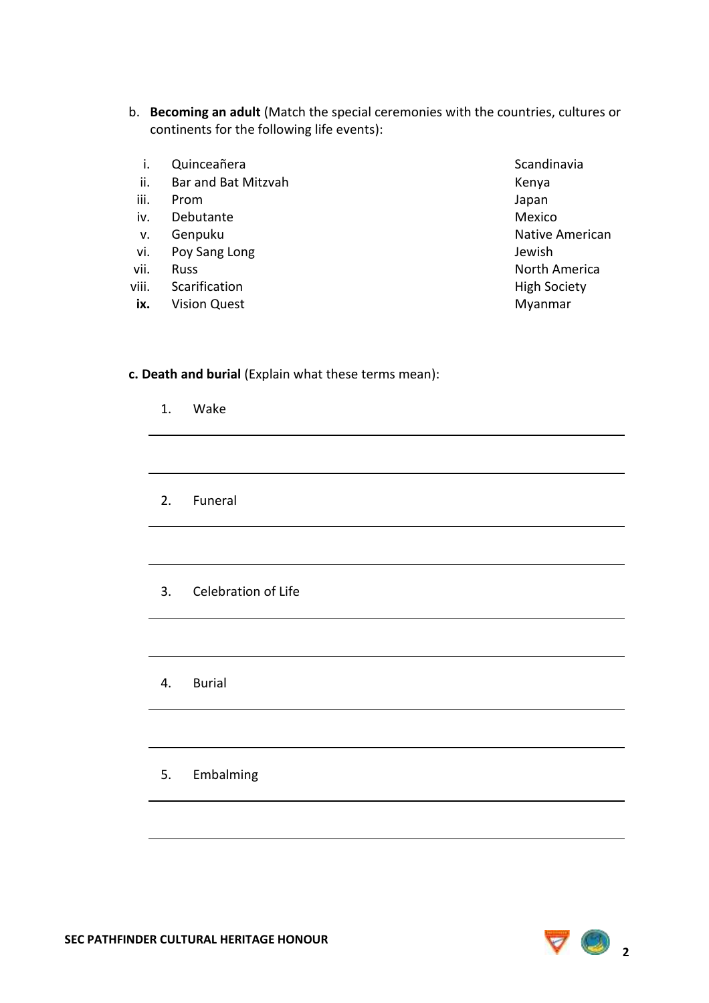- b. **Becoming an adult** (Match the special ceremonies with the countries, cultures or continents for the following life events):
	- i. Quinceañera Scandinavia e a Scandinavia
	- ii. Bar and Bat Mitzvah Kenya Kenya
	- iii. Prom Japan
	- iv. Debutante Mexico
	-
- vi. Poy Sang Long Jewish
- 
- viii. Scarification **High Society**
- **ix.** Vision Quest **Myanmar**
- v. Genpuku Native American vii. Russ North America

## **c. Death and burial** (Explain what these terms mean):

| 1. Wake                |
|------------------------|
|                        |
| 2. Funeral             |
|                        |
| 3. Celebration of Life |
|                        |
| 4. Burial              |
|                        |

5. Embalming

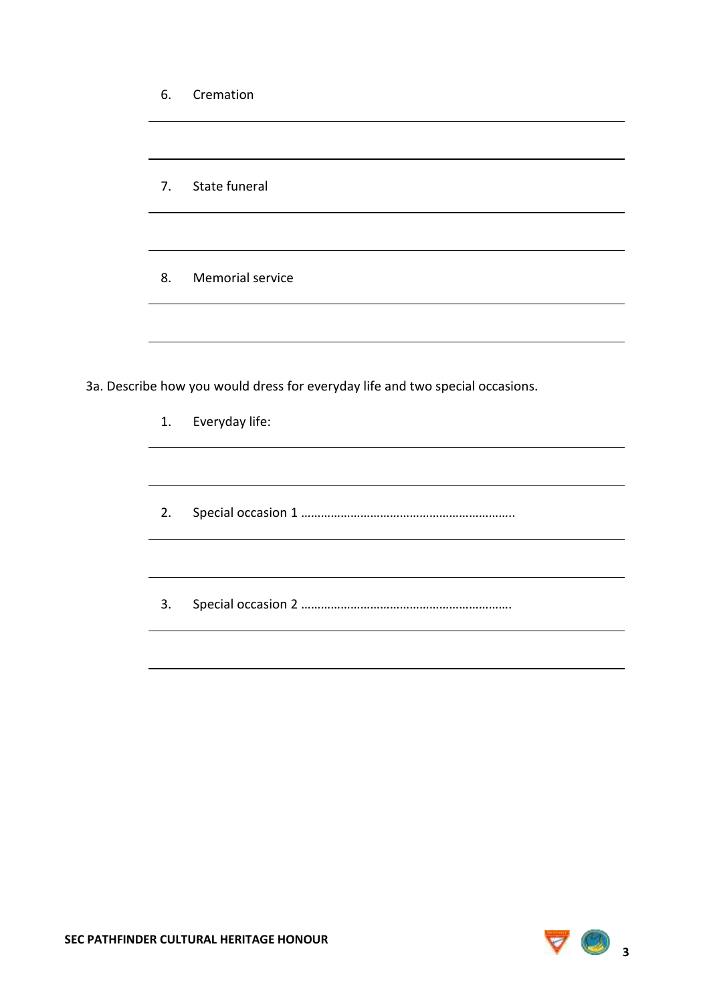| 6. | Cremation                                                                     |
|----|-------------------------------------------------------------------------------|
|    |                                                                               |
| 7. | State funeral                                                                 |
|    |                                                                               |
| 8. | Memorial service                                                              |
|    |                                                                               |
|    | 3a. Describe how you would dress for everyday life and two special occasions. |
| 1. | Everyday life:                                                                |
|    |                                                                               |
| 2. |                                                                               |
|    |                                                                               |
| 3. |                                                                               |
|    |                                                                               |
|    |                                                                               |

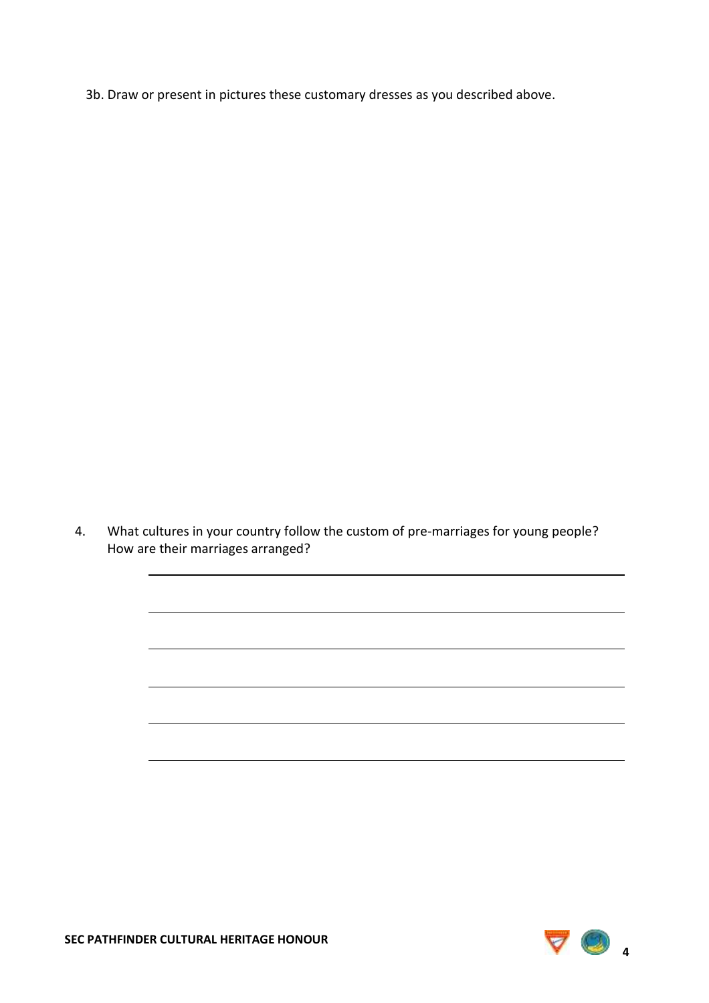3b. Draw or present in pictures these customary dresses as you described above.

4. What cultures in your country follow the custom of pre-marriages for young people? How are their marriages arranged?

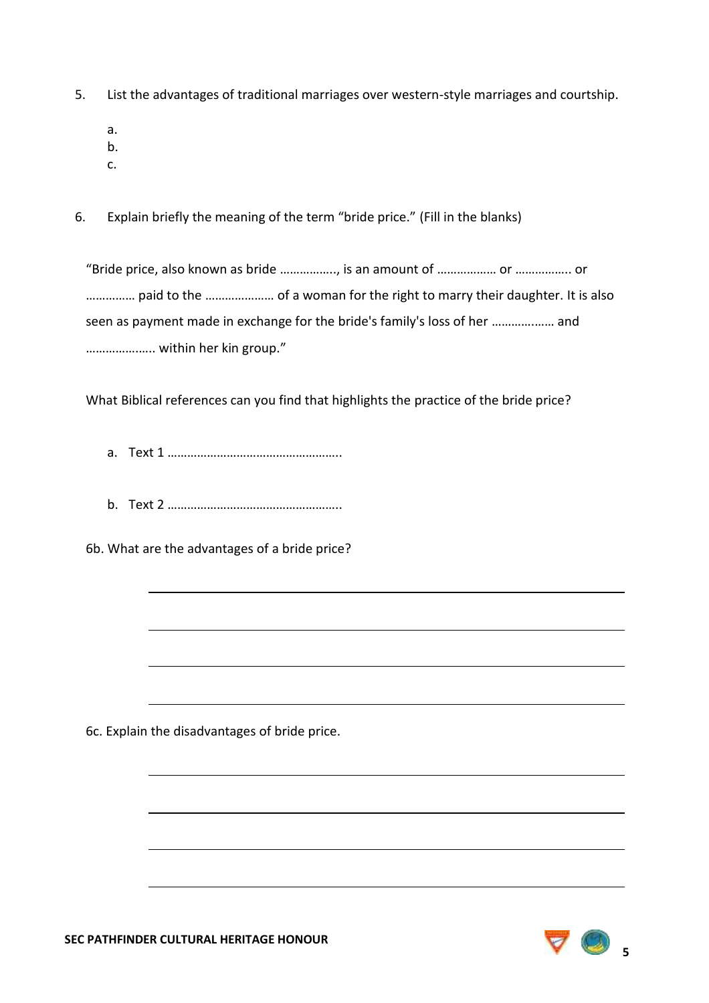- 5. List the advantages of traditional marriages over western-style marriages and courtship.
	- a.
	- b.
	- c.
- 6. Explain briefly the meaning of the term "bride price." (Fill in the blanks)

"Bride price, also known as bride …………….., is an amount of ……………… or …………….. or …………… paid to the ………………… of a woman for the right to marry their daughter. It is also seen as payment made in exchange for the bride's family's loss of her ………….…… and …………….….. within her kin group."

What Biblical references can you find that highlights the practice of the bride price?

- a. Text 1 ……………………………………………..
- b. Text 2 ……………………………………………..

6b. What are the advantages of a bride price?

6c. Explain the disadvantages of bride price.